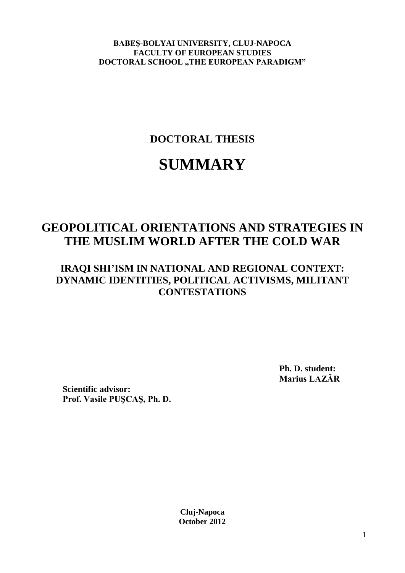**BABEŞ-BOLYAI UNIVERSITY, CLUJ-NAPOCA FACULTY OF EUROPEAN STUDIES DOCTORAL SCHOOL "THE EUROPEAN PARADIGM"** 

**DOCTORAL THESIS**

# **SUMMARY**

# **GEOPOLITICAL ORIENTATIONS AND STRATEGIES IN THE MUSLIM WORLD AFTER THE COLD WAR**

# **IRAQI SHI'ISM IN NATIONAL AND REGIONAL CONTEXT: DYNAMIC IDENTITIES, POLITICAL ACTIVISMS, MILITANT CONTESTATIONS**

**Ph. D. student: Marius LAZĂR**

**Scientific advisor: Prof. Vasile PUŞCAŞ, Ph. D.**

> **Cluj-Napoca October 2012**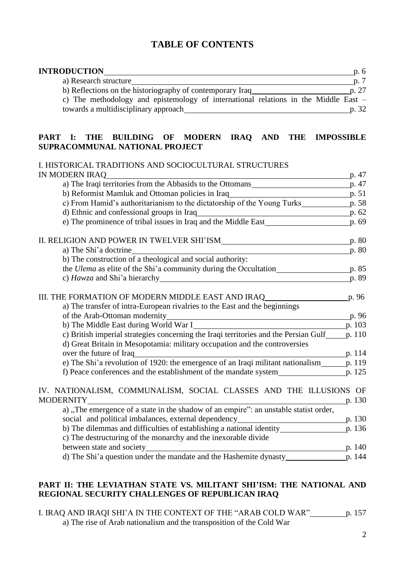### **TABLE OF CONTENTS**

| <b>INTRODUCTION</b>                                                                   | p. 6  |
|---------------------------------------------------------------------------------------|-------|
| a) Research structure                                                                 | p.7   |
| b) Reflections on the historiography of contemporary Iraq                             | p. 27 |
| c) The methodology and epistemology of international relations in the Middle East $-$ |       |
| towards a multidisciplinary approach                                                  | p. 32 |

#### **PART I: THE BUILDING OF MODERN IRAQ AND THE IMPOSSIBLE SUPRACOMMUNAL NATIONAL PROJECT**

#### I. HISTORICAL TRADITIONS AND SOCIOCULTURAL STRUCTURES IN MODERN IRAQ p. 47

|                                                                                                                                                        | p.62   |
|--------------------------------------------------------------------------------------------------------------------------------------------------------|--------|
| e) The prominence of tribal issues in Iraq and the Middle East <u>p.</u> 69                                                                            |        |
| II. RELIGION AND POWER IN TWELVER SHI'ISM_______                                                                                                       | p. 80  |
| a) The Shi'a doctrine                                                                                                                                  | p. 80  |
| b) The construction of a theological and social authority:                                                                                             |        |
| the <i>Ulema</i> as elite of the Shi'a community during the Occultation                                                                                | p. 85  |
|                                                                                                                                                        | p. 89  |
| III. THE FORMATION OF MODERN MIDDLE EAST AND IRAQ                                                                                                      | p. 96  |
| a) The transfer of intra-European rivalries to the East and the beginnings                                                                             |        |
| of the Arab-Ottoman modernity<br><u> 1989 - Jan Sterling von Berling von Berling von Berling von Berling von Berling von Berling von Berling von B</u> | p. 96  |
| b) The Middle East during World War I_                                                                                                                 | p. 103 |
| c) British imperial strategies concerning the Iraqi territories and the Persian Gulf                                                                   | p. 110 |
| d) Great Britain in Mesopotamia: military occupation and the controversies                                                                             |        |
| over the future of Iraq                                                                                                                                | p. 114 |
| e) The Shi'a revolution of 1920: the emergence of an Iraqi militant nationalism___                                                                     | p. 119 |
| f) Peace conferences and the establishment of the mandate system________________                                                                       | p. 125 |
| IV. NATIONALISM, COMMUNALISM, SOCIAL CLASSES AND THE ILLUSIONS OF                                                                                      |        |
| <b>MODERNITY</b>                                                                                                                                       | p. 130 |
| a), The emergence of a state in the shadow of an empire": an unstable statist order,                                                                   |        |
| social and political imbalances, external dependency____________________________                                                                       | p. 130 |
| b) The dilemmas and difficulties of establishing a national identity<br>c) The destructuring of the monarchy and the inexorable divide                 | p. 136 |
| between state and society<br>p. 140                                                                                                                    |        |
|                                                                                                                                                        |        |
|                                                                                                                                                        |        |

#### PART II: THE LEVIATHAN STATE VS. MILITANT SHI'ISM: THE NATIONAL AND **REGIONAL SECURITY CHALLENGES OF REPUBLICAN IRAQ**

I. IRAQ AND IRAQI SHI"A IN THE CONTEXT OF THE "ARAB COLD WAR" p. 157 a) The rise of Arab nationalism and the transposition of the Cold War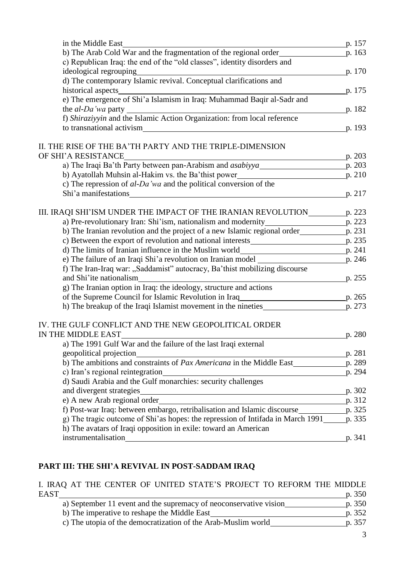| in the Middle East                                                                                                                                                                                                             | p. 157 |
|--------------------------------------------------------------------------------------------------------------------------------------------------------------------------------------------------------------------------------|--------|
| b) The Arab Cold War and the fragmentation of the regional order                                                                                                                                                               | p. 163 |
| c) Republican Iraq: the end of the "old classes", identity disorders and                                                                                                                                                       |        |
| ideological regrouping<br>p. 170                                                                                                                                                                                               |        |
| d) The contemporary Islamic revival. Conceptual clarifications and                                                                                                                                                             |        |
|                                                                                                                                                                                                                                | p. 175 |
| historical aspects<br>e) The emergence of Shi'a Islamism in Iraq: Muhammad Baqir al-Sadr and                                                                                                                                   |        |
| the al-Da'wa party<br>f) Shiraziyyin and the Islamic Action Organization: from local reference                                                                                                                                 | p. 182 |
|                                                                                                                                                                                                                                |        |
| to transnational activism                                                                                                                                                                                                      | p. 193 |
| II. THE RISE OF THE BA'TH PARTY AND THE TRIPLE-DIMENSION                                                                                                                                                                       |        |
| OF SHI'A RESISTANCE                                                                                                                                                                                                            | p. 203 |
| a) The Iraqi Ba'th Party between pan-Arabism and <i>asabiyya</i> P. 203                                                                                                                                                        |        |
| b) Ayatollah Muhsin al-Hakim vs. the Ba'thist power                                                                                                                                                                            | p. 210 |
| c) The repression of $al$ -Da'wa and the political conversion of the                                                                                                                                                           |        |
| Shi'a manifestations experience to the state of the state of the state of the state of the state of the state of the state of the state of the state of the state of the state of the state of the state of the state of the s | p. 217 |
|                                                                                                                                                                                                                                |        |
| III. IRAQI SHI'ISM UNDER THE IMPACT OF THE IRANIAN REVOLUTION                                                                                                                                                                  | p. 223 |
|                                                                                                                                                                                                                                |        |
| b) The Iranian revolution and the project of a new Islamic regional order p. 231                                                                                                                                               |        |
|                                                                                                                                                                                                                                |        |
|                                                                                                                                                                                                                                |        |
|                                                                                                                                                                                                                                |        |
| f) The Iran-Iraq war: "Saddamist" autocracy, Ba'thist mobilizing discourse<br>and Shi'ite nationalism                                                                                                                          | p. 255 |
| g) The Iranian option in Iraq: the ideology, structure and actions                                                                                                                                                             |        |
|                                                                                                                                                                                                                                |        |
| h) The breakup of the Iraqi Islamist movement in the nineties                                                                                                                                                                  | p. 273 |
|                                                                                                                                                                                                                                |        |
| IV. THE GULF CONFLICT AND THE NEW GEOPOLITICAL ORDER                                                                                                                                                                           |        |
| IN THE MIDDLE EAST                                                                                                                                                                                                             | p. 280 |
| a) The 1991 Gulf War and the failure of the last Iraqi external                                                                                                                                                                |        |
| geopolitical projection                                                                                                                                                                                                        | p. 281 |
| b) The ambitions and constraints of <i>Pax Americana</i> in the Middle East                                                                                                                                                    | p. 289 |
| c) Iran's regional reintegration                                                                                                                                                                                               | p. 294 |
| d) Saudi Arabia and the Gulf monarchies: security challenges                                                                                                                                                                   |        |
| and divergent strategies<br><u> 1989 - Johann Barbara, martxa amerikan personal (h. 1989).</u>                                                                                                                                 | p. 302 |
| e) A new Arab regional order<br>p. 312                                                                                                                                                                                         |        |
| f) Post-war Iraq: between embargo, retribalisation and Islamic discourse___________________p. 325                                                                                                                              |        |
| g) The tragic outcome of Shi'as hopes: the repression of Intifada in March 1991_____                                                                                                                                           | p. 335 |
| h) The avatars of Iraqi opposition in exile: toward an American                                                                                                                                                                |        |
|                                                                                                                                                                                                                                | p. 341 |

## **PART III: THE SHI'A REVIVAL IN POST-SADDAM IRAQ**

| I. IRAQ AT THE CENTER OF UNITED STATE'S PROJECT TO REFORM THE MIDDLE |        |
|----------------------------------------------------------------------|--------|
| <b>EAST</b>                                                          | p. 350 |
| a) September 11 event and the supremacy of neoconservative vision    | p. 350 |
| b) The imperative to reshape the Middle East                         | p. 352 |
| c) The utopia of the democratization of the Arab-Muslim world        | p. 357 |
|                                                                      |        |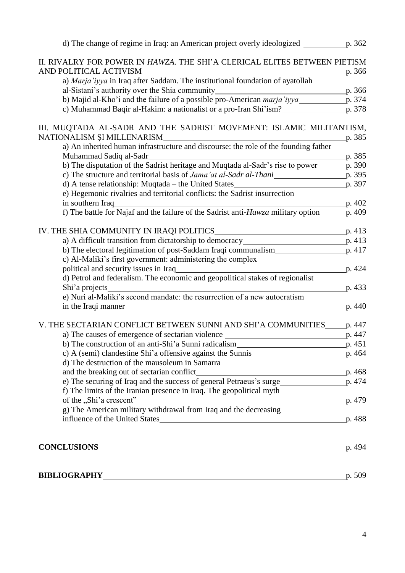| a) An inherited human infrastructure and discourse: the role of the founding father              | p. 385 |
|--------------------------------------------------------------------------------------------------|--------|
| Muhammad Sadiq al-Sadr                                                                           | p. 385 |
| b) The disputation of the Sadrist heritage and Muqtada al-Sadr's rise to power                   | p. 390 |
| c) The structure and territorial basis of Jama'at al-Sadr al-Thani                               | p. 395 |
| d) A tense relationship: Muqtada - the United States                                             | p. 397 |
| e) Hegemonic rivalries and territorial conflicts: the Sadrist insurrection                       |        |
| in southern Iraq                                                                                 | p. 402 |
| f) The battle for Najaf and the failure of the Sadrist anti- $Hawza$ military option             | p. 409 |
| IV. THE SHIA COMMUNITY IN IRAQI POLITICS                                                         | p. 413 |
| a) A difficult transition from dictatorship to democracy p. 413                                  |        |
|                                                                                                  |        |
| c) Al-Maliki's first government: administering the complex                                       |        |
| political and security issues in Iraq                                                            | p. 424 |
| d) Petrol and federalism. The economic and geopolitical stakes of regionalist                    |        |
| Shi'a projects                                                                                   | p. 433 |
| e) Nuri al-Maliki's second mandate: the resurrection of a new autocratism<br>in the Iraqi manner | p. 440 |
|                                                                                                  |        |
| V. THE SECTARIAN CONFLICT BETWEEN SUNNI AND SHI'A COMMUNITIES                                    | p. 447 |
| a) The causes of emergence of sectarian violence                                                 | p. 447 |
|                                                                                                  |        |
|                                                                                                  |        |
| d) The destruction of the mausoleum in Samarra                                                   |        |
| and the breaking out of sectarian conflict<br>p.468                                              |        |
|                                                                                                  |        |
| f) The limits of the Iranian presence in Iraq. The geopolitical myth                             |        |
|                                                                                                  | p. 479 |
| g) The American military withdrawal from Iraq and the decreasing                                 |        |
| influence of the United States                                                                   | p. 488 |
|                                                                                                  |        |
|                                                                                                  | p. 494 |
|                                                                                                  |        |
|                                                                                                  | p. 509 |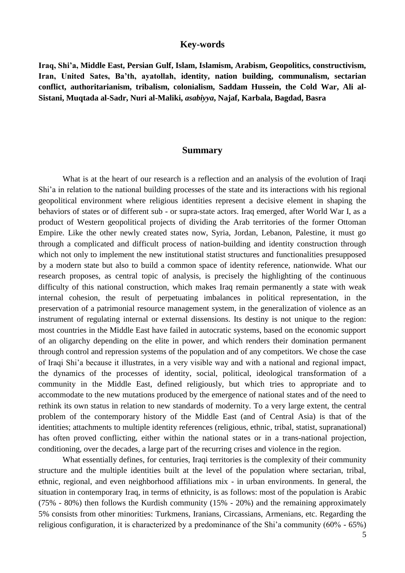#### **Key-words**

**Iraq, Shi'a, Middle East, Persian Gulf, Islam, Islamism, Arabism, Geopolitics, constructivism, Iran, United Sates, Ba'th, ayatollah, identity, nation building, communalism, sectarian conflict, authoritarianism, tribalism, colonialism, Saddam Hussein, the Cold War, Ali al-Sistani, Muqtada al-Sadr, Nuri al-Maliki,** *asabiyya***, Najaf, Karbala, Bagdad, Basra**

#### **Summary**

What is at the heart of our research is a reflection and an analysis of the evolution of Iraqi Shi"a in relation to the national building processes of the state and its interactions with his regional geopolitical environment where religious identities represent a decisive element in shaping the behaviors of states or of different sub - or supra-state actors. Iraq emerged, after World War I, as a product of Western geopolitical projects of dividing the Arab territories of the former Ottoman Empire. Like the other newly created states now, Syria, Jordan, Lebanon, Palestine, it must go through a complicated and difficult process of nation-building and identity construction through which not only to implement the new institutional statist structures and functionalities presupposed by a modern state but also to build a common space of identity reference, nationwide. What our research proposes, as central topic of analysis, is precisely the highlighting of the continuous difficulty of this national construction, which makes Iraq remain permanently a state with weak internal cohesion, the result of perpetuating imbalances in political representation, in the preservation of a patrimonial resource management system, in the generalization of violence as an instrument of regulating internal or external dissensions. Its destiny is not unique to the region: most countries in the Middle East have failed in autocratic systems, based on the economic support of an oligarchy depending on the elite in power, and which renders their domination permanent through control and repression systems of the population and of any competitors. We chose the case of Iraqi Shi"a because it illustrates, in a very visible way and with a national and regional impact, the dynamics of the processes of identity, social, political, ideological transformation of a community in the Middle East, defined religiously, but which tries to appropriate and to accommodate to the new mutations produced by the emergence of national states and of the need to rethink its own status in relation to new standards of modernity. To a very large extent, the central problem of the contemporary history of the Middle East (and of Central Asia) is that of the identities; attachments to multiple identity references (religious, ethnic, tribal, statist, supranational) has often proved conflicting, either within the national states or in a trans-national projection, conditioning, over the decades, a large part of the recurring crises and violence in the region.

What essentially defines, for centuries, Iraqi territories is the complexity of their community structure and the multiple identities built at the level of the population where sectarian, tribal, ethnic, regional, and even neighborhood affiliations mix - in urban environments. In general, the situation in contemporary Iraq, in terms of ethnicity, is as follows: most of the population is Arabic (75% - 80%) then follows the Kurdish community (15% - 20%) and the remaining approximately 5% consists from other minorities: Turkmens, Iranians, Circassians, Armenians, etc. Regarding the religious configuration, it is characterized by a predominance of the Shi"a community (60% - 65%)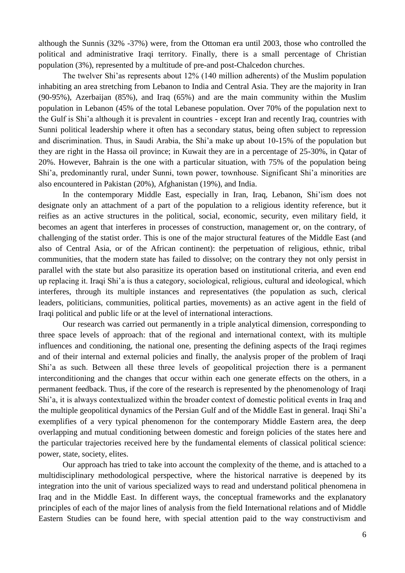although the Sunnis (32% -37%) were, from the Ottoman era until 2003, those who controlled the political and administrative Iraqi territory. Finally, there is a small percentage of Christian population (3%), represented by a multitude of pre-and post-Chalcedon churches.

The twelver Shi"as represents about 12% (140 million adherents) of the Muslim population inhabiting an area stretching from Lebanon to India and Central Asia. They are the majority in Iran (90-95%), Azerbaijan (85%), and Iraq (65%) and are the main community within the Muslim population in Lebanon (45% of the total Lebanese population. Over 70% of the population next to the Gulf is Shi"a although it is prevalent in countries - except Iran and recently Iraq, countries with Sunni political leadership where it often has a secondary status, being often subject to repression and discrimination. Thus, in Saudi Arabia, the Shi"a make up about 10-15% of the population but they are right in the Hassa oil province; in Kuwait they are in a percentage of 25-30%, in Qatar of 20%. However, Bahrain is the one with a particular situation, with 75% of the population being Shi"a, predominantly rural, under Sunni, town power, townhouse. Significant Shi"a minorities are also encountered in Pakistan (20%), Afghanistan (19%), and India.

In the contemporary Middle East, especially in Iran, Iraq, Lebanon, Shi"ism does not designate only an attachment of a part of the population to a religious identity reference, but it reifies as an active structures in the political, social, economic, security, even military field, it becomes an agent that interferes in processes of construction, management or, on the contrary, of challenging of the statist order. This is one of the major structural features of the Middle East (and also of Central Asia, or of the African continent): the perpetuation of religious, ethnic, tribal communities, that the modern state has failed to dissolve; on the contrary they not only persist in parallel with the state but also parasitize its operation based on institutional criteria, and even end up replacing it. Iraqi Shi"a is thus a category, sociological, religious, cultural and ideological, which interferes, through its multiple instances and representatives (the population as such, clerical leaders, politicians, communities, political parties, movements) as an active agent in the field of Iraqi political and public life or at the level of international interactions.

Our research was carried out permanently in a triple analytical dimension, corresponding to three space levels of approach: that of the regional and international context, with its multiple influences and conditioning, the national one, presenting the defining aspects of the Iraqi regimes and of their internal and external policies and finally, the analysis proper of the problem of Iraqi Shi"a as such. Between all these three levels of geopolitical projection there is a permanent interconditioning and the changes that occur within each one generate effects on the others, in a permanent feedback. Thus, if the core of the research is represented by the phenomenology of Iraqi Shi"a, it is always contextualized within the broader context of domestic political events in Iraq and the multiple geopolitical dynamics of the Persian Gulf and of the Middle East in general. Iraqi Shi"a exemplifies of a very typical phenomenon for the contemporary Middle Eastern area, the deep overlapping and mutual conditioning between domestic and foreign policies of the states here and the particular trajectories received here by the fundamental elements of classical political science: power, state, society, elites.

Our approach has tried to take into account the complexity of the theme, and is attached to a multidisciplinary methodological perspective, where the historical narrative is deepened by its integration into the unit of various specialized ways to read and understand political phenomena in Iraq and in the Middle East. In different ways, the conceptual frameworks and the explanatory principles of each of the major lines of analysis from the field International relations and of Middle Eastern Studies can be found here, with special attention paid to the way constructivism and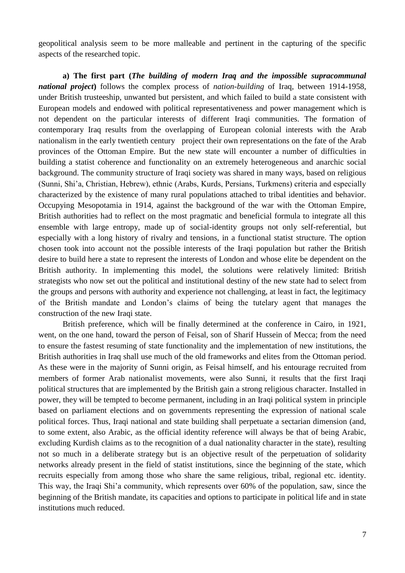geopolitical analysis seem to be more malleable and pertinent in the capturing of the specific aspects of the researched topic.

**a) The first part (***The building of modern Iraq and the impossible supracommunal national project***)** follows the complex process of *nation-building* of Iraq, between 1914-1958, under British trusteeship, unwanted but persistent, and which failed to build a state consistent with European models and endowed with political representativeness and power management which is not dependent on the particular interests of different Iraqi communities. The formation of contemporary Iraq results from the overlapping of European colonial interests with the Arab nationalism in the early twentieth century project their own representations on the fate of the Arab provinces of the Ottoman Empire. But the new state will encounter a number of difficulties in building a statist coherence and functionality on an extremely heterogeneous and anarchic social background. The community structure of Iraqi society was shared in many ways, based on religious (Sunni, Shi"a, Christian, Hebrew), ethnic (Arabs, Kurds, Persians, Turkmens) criteria and especially characterized by the existence of many rural populations attached to tribal identities and behavior. Occupying Mesopotamia in 1914, against the background of the war with the Ottoman Empire, British authorities had to reflect on the most pragmatic and beneficial formula to integrate all this ensemble with large entropy, made up of social-identity groups not only self-referential, but especially with a long history of rivalry and tensions, in a functional statist structure. The option chosen took into account not the possible interests of the Iraqi population but rather the British desire to build here a state to represent the interests of London and whose elite be dependent on the British authority. In implementing this model, the solutions were relatively limited: British strategists who now set out the political and institutional destiny of the new state had to select from the groups and persons with authority and experience not challenging, at least in fact, the legitimacy of the British mandate and London"s claims of being the tutelary agent that manages the construction of the new Iraqi state.

British preference, which will be finally determined at the conference in Cairo, in 1921, went, on the one hand, toward the person of Feisal, son of Sharif Hussein of Mecca; from the need to ensure the fastest resuming of state functionality and the implementation of new institutions, the British authorities in Iraq shall use much of the old frameworks and elites from the Ottoman period. As these were in the majority of Sunni origin, as Feisal himself, and his entourage recruited from members of former Arab nationalist movements, were also Sunni, it results that the first Iraqi political structures that are implemented by the British gain a strong religious character. Installed in power, they will be tempted to become permanent, including in an Iraqi political system in principle based on parliament elections and on governments representing the expression of national scale political forces. Thus, Iraqi national and state building shall perpetuate a sectarian dimension (and, to some extent, also Arabic, as the official identity reference will always be that of being Arabic, excluding Kurdish claims as to the recognition of a dual nationality character in the state), resulting not so much in a deliberate strategy but is an objective result of the perpetuation of solidarity networks already present in the field of statist institutions, since the beginning of the state, which recruits especially from among those who share the same religious, tribal, regional etc. identity. This way, the Iraqi Shi"a community, which represents over 60% of the population, saw, since the beginning of the British mandate, its capacities and options to participate in political life and in state institutions much reduced.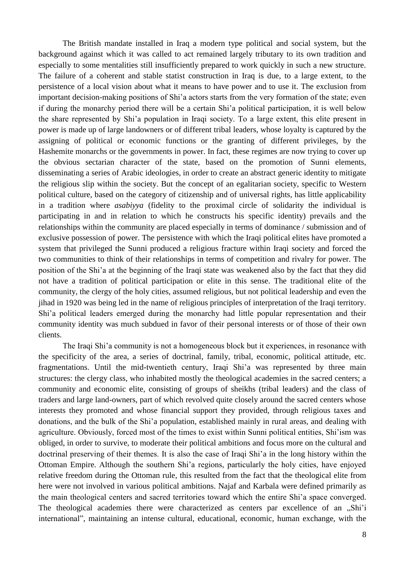The British mandate installed in Iraq a modern type political and social system, but the background against which it was called to act remained largely tributary to its own tradition and especially to some mentalities still insufficiently prepared to work quickly in such a new structure. The failure of a coherent and stable statist construction in Iraq is due, to a large extent, to the persistence of a local vision about what it means to have power and to use it. The exclusion from important decision-making positions of Shi'a actors starts from the very formation of the state; even if during the monarchy period there will be a certain Shi"a political participation, it is well below the share represented by Shi"a population in Iraqi society. To a large extent, this elite present in power is made up of large landowners or of different tribal leaders, whose loyalty is captured by the assigning of political or economic functions or the granting of different privileges, by the Hashemite monarchs or the governments in power. In fact, these regimes are now trying to cover up the obvious sectarian character of the state, based on the promotion of Sunni elements, disseminating a series of Arabic ideologies, in order to create an abstract generic identity to mitigate the religious slip within the society. But the concept of an egalitarian society, specific to Western political culture, based on the category of citizenship and of universal rights, has little applicability in a tradition where *asabiyya* (fidelity to the proximal circle of solidarity the individual is participating in and in relation to which he constructs his specific identity) prevails and the relationships within the community are placed especially in terms of dominance / submission and of exclusive possession of power. The persistence with which the Iraqi political elites have promoted a system that privileged the Sunni produced a religious fracture within Iraqi society and forced the two communities to think of their relationships in terms of competition and rivalry for power. The position of the Shi"a at the beginning of the Iraqi state was weakened also by the fact that they did not have a tradition of political participation or elite in this sense. The traditional elite of the community, the clergy of the holy cities, assumed religious, but not political leadership and even the jihad in 1920 was being led in the name of religious principles of interpretation of the Iraqi territory. Shi"a political leaders emerged during the monarchy had little popular representation and their community identity was much subdued in favor of their personal interests or of those of their own clients.

The Iraqi Shi"a community is not a homogeneous block but it experiences, in resonance with the specificity of the area, a series of doctrinal, family, tribal, economic, political attitude, etc. fragmentations. Until the mid-twentieth century, Iraqi Shi'a was represented by three main structures: the clergy class, who inhabited mostly the theological academies in the sacred centers; a community and economic elite, consisting of groups of sheikhs (tribal leaders) and the class of traders and large land-owners, part of which revolved quite closely around the sacred centers whose interests they promoted and whose financial support they provided, through religious taxes and donations, and the bulk of the Shi"a population, established mainly in rural areas, and dealing with agriculture. Obviously, forced most of the times to exist within Sunni political entities, Shi"ism was obliged, in order to survive, to moderate their political ambitions and focus more on the cultural and doctrinal preserving of their themes. It is also the case of Iraqi Shi"a in the long history within the Ottoman Empire. Although the southern Shi"a regions, particularly the holy cities, have enjoyed relative freedom during the Ottoman rule, this resulted from the fact that the theological elite from here were not involved in various political ambitions. Najaf and Karbala were defined primarily as the main theological centers and sacred territories toward which the entire Shi"a space converged. The theological academies there were characterized as centers par excellence of an "Shi'i international", maintaining an intense cultural, educational, economic, human exchange, with the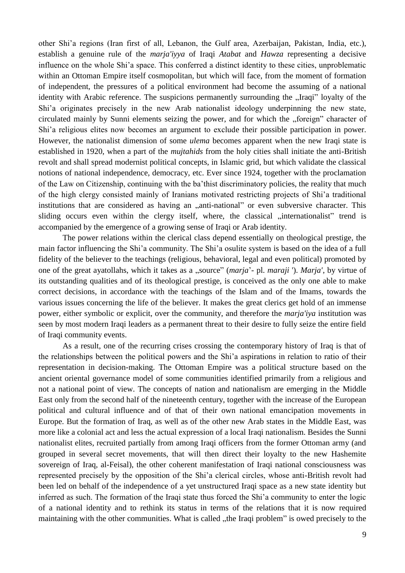other Shi"a regions (Iran first of all, Lebanon, the Gulf area, Azerbaijan, Pakistan, India, etc.), establish a genuine rule of the *marja'iyya* of Iraqi *Atabat* and *Hawza* representing a decisive influence on the whole Shi"a space. This conferred a distinct identity to these cities, unproblematic within an Ottoman Empire itself cosmopolitan, but which will face, from the moment of formation of independent, the pressures of a political environment had become the assuming of a national identity with Arabic reference. The suspicions permanently surrounding the "Iraqi" loyalty of the Shi"a originates precisely in the new Arab nationalist ideology underpinning the new state, circulated mainly by Sunni elements seizing the power, and for which the "foreign" character of Shi"a religious elites now becomes an argument to exclude their possible participation in power. However, the nationalist dimension of some *ulema* becomes apparent when the new Iraqi state is established in 1920, when a part of the *mujtahids* from the holy cities shall initiate the anti-British revolt and shall spread modernist political concepts, in Islamic grid, but which validate the classical notions of national independence, democracy, etc. Ever since 1924, together with the proclamation of the Law on Citizenship, continuing with the ba"thist discriminatory policies, the reality that much of the high clergy consisted mainly of Iranians motivated restricting projects of Shi"a traditional institutions that are considered as having an "anti-national" or even subversive character. This sliding occurs even within the clergy itself, where, the classical "internationalist" trend is accompanied by the emergence of a growing sense of Iraqi or Arab identity.

The power relations within the clerical class depend essentially on theological prestige, the main factor influencing the Shi"a community. The Shi"a osulite system is based on the idea of a full fidelity of the believer to the teachings (religious, behavioral, legal and even political) promoted by one of the great ayatollahs, which it takes as a "source" *(marja*'- pl. *maraji* '). *Marja'*, by virtue of its outstanding qualities and of its theological prestige, is conceived as the only one able to make correct decisions, in accordance with the teachings of the Islam and of the Imams, towards the various issues concerning the life of the believer. It makes the great clerics get hold of an immense power, either symbolic or explicit, over the community, and therefore the *marja'iya* institution was seen by most modern Iraqi leaders as a permanent threat to their desire to fully seize the entire field of Iraqi community events.

As a result, one of the recurring crises crossing the contemporary history of Iraq is that of the relationships between the political powers and the Shi"a aspirations in relation to ratio of their representation in decision-making. The Ottoman Empire was a political structure based on the ancient oriental governance model of some communities identified primarily from a religious and not a national point of view. The concepts of nation and nationalism are emerging in the Middle East only from the second half of the nineteenth century, together with the increase of the European political and cultural influence and of that of their own national emancipation movements in Europe. But the formation of Iraq, as well as of the other new Arab states in the Middle East, was more like a colonial act and less the actual expression of a local Iraqi nationalism. Besides the Sunni nationalist elites, recruited partially from among Iraqi officers from the former Ottoman army (and grouped in several secret movements, that will then direct their loyalty to the new Hashemite sovereign of Iraq, al-Feisal), the other coherent manifestation of Iraqi national consciousness was represented precisely by the opposition of the Shi"a clerical circles, whose anti-British revolt had been led on behalf of the independence of a yet unstructured Iraqi space as a new state identity but inferred as such. The formation of the Iraqi state thus forced the Shi"a community to enter the logic of a national identity and to rethink its status in terms of the relations that it is now required maintaining with the other communities. What is called , the Iraqi problem" is owed precisely to the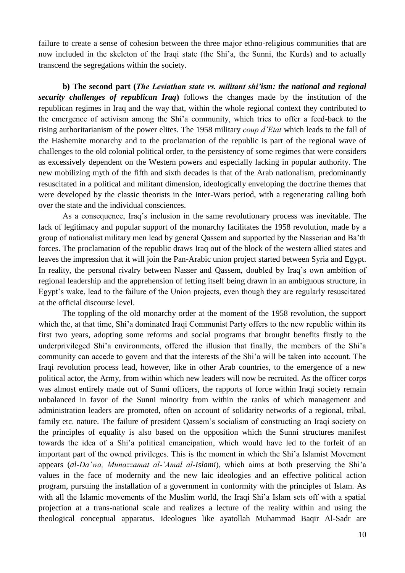failure to create a sense of cohesion between the three major ethno-religious communities that are now included in the skeleton of the Iraqi state (the Shi"a, the Sunni, the Kurds) and to actually transcend the segregations within the society.

**b) The second part (***The Leviathan state vs. militant shi'ism: the national and regional security challenges of republican Iraq***)** follows the changes made by the institution of the republican regimes in Iraq and the way that, within the whole regional context they contributed to the emergence of activism among the Shi"a community, which tries to offer a feed-back to the rising authoritarianism of the power elites. The 1958 military *coup d'Etat* which leads to the fall of the Hashemite monarchy and to the proclamation of the republic is part of the regional wave of challenges to the old colonial political order, to the persistency of some regimes that were considers as excessively dependent on the Western powers and especially lacking in popular authority. The new mobilizing myth of the fifth and sixth decades is that of the Arab nationalism, predominantly resuscitated in a political and militant dimension, ideologically enveloping the doctrine themes that were developed by the classic theorists in the Inter-Wars period, with a regenerating calling both over the state and the individual consciences.

As a consequence, Iraq"s inclusion in the same revolutionary process was inevitable. The lack of legitimacy and popular support of the monarchy facilitates the 1958 revolution, made by a group of nationalist military men lead by general Qassem and supported by the Nasserian and Ba"th forces. The proclamation of the republic draws Iraq out of the block of the western allied states and leaves the impression that it will join the Pan-Arabic union project started between Syria and Egypt. In reality, the personal rivalry between Nasser and Qassem, doubled by Iraq"s own ambition of regional leadership and the apprehension of letting itself being drawn in an ambiguous structure, in Egypt"s wake, lead to the failure of the Union projects, even though they are regularly resuscitated at the official discourse level.

The toppling of the old monarchy order at the moment of the 1958 revolution, the support which the, at that time, Shi'a dominated Iraqi Communist Party offers to the new republic within its first two years, adopting some reforms and social programs that brought benefits firstly to the underprivileged Shi'a environments, offered the illusion that finally, the members of the Shi'a community can accede to govern and that the interests of the Shi"a will be taken into account. The Iraqi revolution process lead, however, like in other Arab countries, to the emergence of a new political actor, the Army, from within which new leaders will now be recruited. As the officer corps was almost entirely made out of Sunni officers, the rapports of force within Iraqi society remain unbalanced in favor of the Sunni minority from within the ranks of which management and administration leaders are promoted, often on account of solidarity networks of a regional, tribal, family etc. nature. The failure of president Oassem's socialism of constructing an Iraqi society on the principles of equality is also based on the opposition which the Sunni structures manifest towards the idea of a Shi"a political emancipation, which would have led to the forfeit of an important part of the owned privileges. This is the moment in which the Shi"a Islamist Movement appears (*al-Da'wa, Munazzamat al-'Amal al-Islami*), which aims at both preserving the Shi"a values in the face of modernity and the new laic ideologies and an effective political action program, pursuing the installation of a government in conformity with the principles of Islam. As with all the Islamic movements of the Muslim world, the Iraqi Shi'a Islam sets off with a spatial projection at a trans-national scale and realizes a lecture of the reality within and using the theological conceptual apparatus. Ideologues like ayatollah Muhammad Baqir Al-Sadr are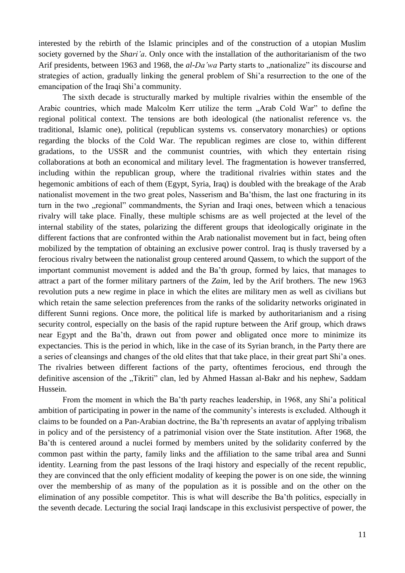interested by the rebirth of the Islamic principles and of the construction of a utopian Muslim society governed by the *Shari'a*. Only once with the installation of the authoritarianism of the two Arif presidents, between 1963 and 1968, the *al-Da'wa* Party starts to "nationalize" its discourse and strategies of action, gradually linking the general problem of Shi"a resurrection to the one of the emancipation of the Iraqi Shi"a community.

The sixth decade is structurally marked by multiple rivalries within the ensemble of the Arabic countries, which made Malcolm Kerr utilize the term "Arab Cold War" to define the regional political context. The tensions are both ideological (the nationalist reference vs. the traditional, Islamic one), political (republican systems vs. conservatory monarchies) or options regarding the blocks of the Cold War. The republican regimes are close to, within different gradations, to the USSR and the communist countries, with which they entertain rising collaborations at both an economical and military level. The fragmentation is however transferred, including within the republican group, where the traditional rivalries within states and the hegemonic ambitions of each of them (Egypt, Syria, Iraq) is doubled with the breakage of the Arab nationalist movement in the two great poles, Nasserism and Ba"thism, the last one fracturing in its turn in the two "regional" commandments, the Syrian and Iraqi ones, between which a tenacious rivalry will take place. Finally, these multiple schisms are as well projected at the level of the internal stability of the states, polarizing the different groups that ideologically originate in the different factions that are confronted within the Arab nationalist movement but in fact, being often mobilized by the temptation of obtaining an exclusive power control. Iraq is thusly traversed by a ferocious rivalry between the nationalist group centered around Qassem, to which the support of the important communist movement is added and the Ba"th group, formed by laics, that manages to attract a part of the former military partners of the *Zaim*, led by the Arif brothers. The new 1963 revolution puts a new regime in place in which the elites are military men as well as civilians but which retain the same selection preferences from the ranks of the solidarity networks originated in different Sunni regions. Once more, the political life is marked by authoritarianism and a rising security control, especially on the basis of the rapid rupture between the Arif group, which draws near Egypt and the Ba"th, drawn out from power and obligated once more to minimize its expectancies. This is the period in which, like in the case of its Syrian branch, in the Party there are a series of cleansings and changes of the old elites that that take place, in their great part Shi"a ones. The rivalries between different factions of the party, oftentimes ferocious, end through the definitive ascension of the "Tikriti" clan, led by Ahmed Hassan al-Bakr and his nephew, Saddam Hussein.

From the moment in which the Ba'th party reaches leadership, in 1968, any Shi'a political ambition of participating in power in the name of the community"s interests is excluded. Although it claims to be founded on a Pan-Arabian doctrine, the Ba"th represents an avatar of applying tribalism in policy and of the persistency of a patrimonial vision over the State institution. After 1968, the Ba"th is centered around a nuclei formed by members united by the solidarity conferred by the common past within the party, family links and the affiliation to the same tribal area and Sunni identity. Learning from the past lessons of the Iraqi history and especially of the recent republic, they are convinced that the only efficient modality of keeping the power is on one side, the winning over the membership of as many of the population as it is possible and on the other on the elimination of any possible competitor. This is what will describe the Ba"th politics, especially in the seventh decade. Lecturing the social Iraqi landscape in this exclusivist perspective of power, the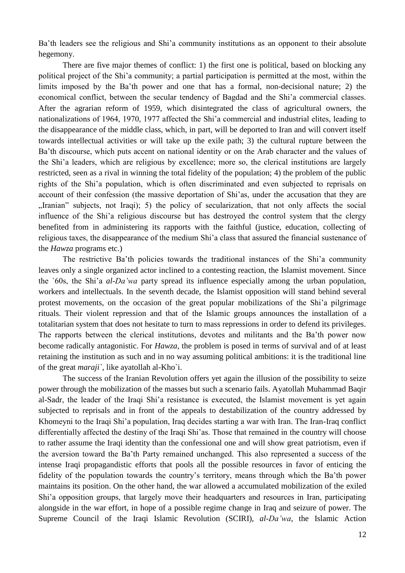Ba'th leaders see the religious and Shi'a community institutions as an opponent to their absolute hegemony.

There are five major themes of conflict: 1) the first one is political, based on blocking any political project of the Shi"a community; a partial participation is permitted at the most, within the limits imposed by the Ba"th power and one that has a formal, non-decisional nature; 2) the economical conflict, between the secular tendency of Bagdad and the Shi"a commercial classes. After the agrarian reform of 1959, which disintegrated the class of agricultural owners, the nationalizations of 1964, 1970, 1977 affected the Shi'a commercial and industrial elites, leading to the disappearance of the middle class, which, in part, will be deported to Iran and will convert itself towards intellectual activities or will take up the exile path; 3) the cultural rupture between the Ba"th discourse, which puts accent on national identity or on the Arab character and the values of the Shi"a leaders, which are religious by excellence; more so, the clerical institutions are largely restricted, seen as a rival in winning the total fidelity of the population; 4) the problem of the public rights of the Shi"a population, which is often discriminated and even subjected to reprisals on account of their confession (the massive deportation of Shi"as, under the accusation that they are "Iranian" subjects, not Iraqi); 5) the policy of secularization, that not only affects the social influence of the Shi"a religious discourse but has destroyed the control system that the clergy benefited from in administering its rapports with the faithful (justice, education, collecting of religious taxes, the disappearance of the medium Shi"a class that assured the financial sustenance of the *Hawza* programs etc.)

The restrictive Ba'th policies towards the traditional instances of the Shi'a community leaves only a single organized actor inclined to a contesting reaction, the Islamist movement. Since the `60s, the Shi"a *al-Da'wa* party spread its influence especially among the urban population, workers and intellectuals. In the seventh decade, the Islamist opposition will stand behind several protest movements, on the occasion of the great popular mobilizations of the Shi'a pilgrimage rituals. Their violent repression and that of the Islamic groups announces the installation of a totalitarian system that does not hesitate to turn to mass repressions in order to defend its privileges. The rapports between the clerical institutions, devotes and militants and the Ba"th power now become radically antagonistic. For *Hawza*, the problem is posed in terms of survival and of at least retaining the institution as such and in no way assuming political ambitions: it is the traditional line of the great *maraji`*, like ayatollah al-Kho`i.

The success of the Iranian Revolution offers yet again the illusion of the possibility to seize power through the mobilization of the masses but such a scenario fails. Ayatollah Muhammad Baqir al-Sadr, the leader of the Iraqi Shi"a resistance is executed, the Islamist movement is yet again subjected to reprisals and in front of the appeals to destabilization of the country addressed by Khomeyni to the Iraqi Shi"a population, Iraq decides starting a war with Iran. The Iran-Iraq conflict differentially affected the destiny of the Iraqi Shi'as. Those that remained in the country will choose to rather assume the Iraqi identity than the confessional one and will show great patriotism, even if the aversion toward the Ba"th Party remained unchanged. This also represented a success of the intense Iraqi propagandistic efforts that pools all the possible resources in favor of enticing the fidelity of the population towards the country"s territory, means through which the Ba"th power maintains its position. On the other hand, the war allowed a accumulated mobilization of the exiled Shi"a opposition groups, that largely move their headquarters and resources in Iran, participating alongside in the war effort, in hope of a possible regime change in Iraq and seizure of power. The Supreme Council of the Iraqi Islamic Revolution (SCIRI), *al-Da'wa*, the Islamic Action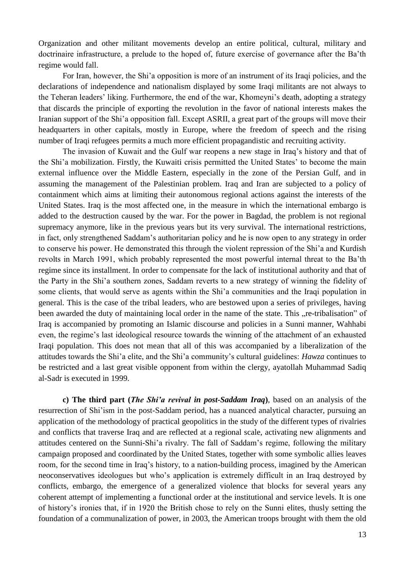Organization and other militant movements develop an entire political, cultural, military and doctrinaire infrastructure, a prelude to the hoped of, future exercise of governance after the Ba'th regime would fall.

For Iran, however, the Shi'a opposition is more of an instrument of its Iraqi policies, and the declarations of independence and nationalism displayed by some Iraqi militants are not always to the Teheran leaders' liking. Furthermore, the end of the war, Khomeyni's death, adopting a strategy that discards the principle of exporting the revolution in the favor of national interests makes the Iranian support of the Shi"a opposition fall. Except ASRII, a great part of the groups will move their headquarters in other capitals, mostly in Europe, where the freedom of speech and the rising number of Iraqi refugees permits a much more efficient propagandistic and recruiting activity.

The invasion of Kuwait and the Gulf war reopens a new stage in Iraq"s history and that of the Shi"a mobilization. Firstly, the Kuwaiti crisis permitted the United States" to become the main external influence over the Middle Eastern, especially in the zone of the Persian Gulf, and in assuming the management of the Palestinian problem. Iraq and Iran are subjected to a policy of containment which aims at limiting their autonomous regional actions against the interests of the United States. Iraq is the most affected one, in the measure in which the international embargo is added to the destruction caused by the war. For the power in Bagdad, the problem is not regional supremacy anymore, like in the previous years but its very survival. The international restrictions, in fact, only strengthened Saddam"s authoritarian policy and he is now open to any strategy in order to conserve his power. He demonstrated this through the violent repression of the Shi"a and Kurdish revolts in March 1991, which probably represented the most powerful internal threat to the Ba"th regime since its installment. In order to compensate for the lack of institutional authority and that of the Party in the Shi"a southern zones, Saddam reverts to a new strategy of winning the fidelity of some clients, that would serve as agents within the Shi'a communities and the Iraqi population in general. This is the case of the tribal leaders, who are bestowed upon a series of privileges, having been awarded the duty of maintaining local order in the name of the state. This "re-tribalisation" of Iraq is accompanied by promoting an Islamic discourse and policies in a Sunni manner, Wahhabi even, the regime"s last ideological resource towards the winning of the attachment of an exhausted Iraqi population. This does not mean that all of this was accompanied by a liberalization of the attitudes towards the Shi"a elite, and the Shi"a community"s cultural guidelines: *Hawza* continues to be restricted and a last great visible opponent from within the clergy, ayatollah Muhammad Sadiq al-Sadr is executed in 1999.

**c) The third part (***The Shi'a revival in post-Saddam Iraq***)**, based on an analysis of the resurrection of Shi"ism in the post-Saddam period, has a nuanced analytical character, pursuing an application of the methodology of practical geopolitics in the study of the different types of rivalries and conflicts that traverse Iraq and are reflected at a regional scale, activating new alignments and attitudes centered on the Sunni-Shi"a rivalry. The fall of Saddam"s regime, following the military campaign proposed and coordinated by the United States, together with some symbolic allies leaves room, for the second time in Iraq"s history, to a nation-building process, imagined by the American neoconservatives ideologues but who"s application is extremely difficult in an Iraq destroyed by conflicts, embargo, the emergence of a generalized violence that blocks for several years any coherent attempt of implementing a functional order at the institutional and service levels. It is one of history"s ironies that, if in 1920 the British chose to rely on the Sunni elites, thusly setting the foundation of a communalization of power, in 2003, the American troops brought with them the old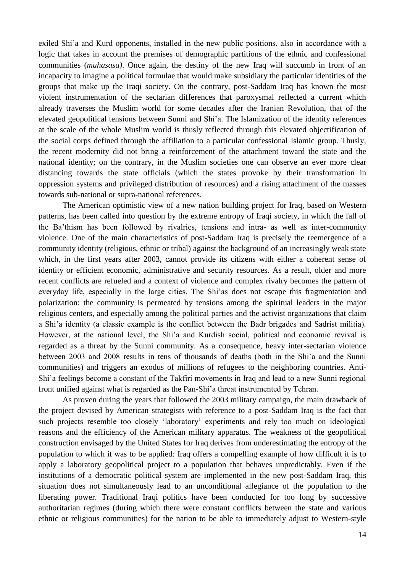exiled Shi"a and Kurd opponents, installed in the new public positions, also in accordance with a logic that takes in account the premises of demographic partitions of the ethnic and confessional communities (*muhasasa)*. Once again, the destiny of the new Iraq will succumb in front of an incapacity to imagine a political formulae that would make subsidiary the particular identities of the groups that make up the Iraqi society. On the contrary, post-Saddam Iraq has known the most violent instrumentation of the sectarian differences that paroxysmal reflected a current which already traverses the Muslim world for some decades after the Iranian Revolution, that of the elevated geopolitical tensions between Sunni and Shi"a. The Islamization of the identity references at the scale of the whole Muslim world is thusly reflected through this elevated objectification of the social corps defined through the affiliation to a particular confessional Islamic group. Thusly, the recent modernity did not bring a reinforcement of the attachment toward the state and the national identity; on the contrary, in the Muslim societies one can observe an ever more clear distancing towards the state officials (which the states provoke by their transformation in oppression systems and privileged distribution of resources) and a rising attachment of the masses towards sub-national or supra-national references.

The American optimistic view of a new nation building project for Iraq, based on Western patterns, has been called into question by the extreme entropy of Iraqi society, in which the fall of the Ba"thism has been followed by rivalries, tensions and intra- as well as inter-community violence. One of the main characteristics of post-Saddam Iraq is precisely the reemergence of a community identity (religious, ethnic or tribal) against the background of an increasingly weak state which, in the first years after 2003, cannot provide its citizens with either a coherent sense of identity or efficient economic, administrative and security resources. As a result, older and more recent conflicts are refueled and a context of violence and complex rivalry becomes the pattern of everyday life, especially in the large cities. The Shi"as does not escape this fragmentation and polarization: the community is permeated by tensions among the spiritual leaders in the major religious centers, and especially among the political parties and the activist organizations that claim a Shi"a identity (a classic example is the conflict between the Badr brigades and Sadrist militia). However, at the national level, the Shi"a and Kurdish social, political and economic revival is regarded as a threat by the Sunni community. As a consequence, heavy inter-sectarian violence between 2003 and 2008 results in tens of thousands of deaths (both in the Shi"a and the Sunni communities) and triggers an exodus of millions of refugees to the neighboring countries. Anti-Shi"a feelings become a constant of the Takfiri movements in Iraq and lead to a new Sunni regional front unified against what is regarded as the Pan-Shi"a threat instrumented by Tehran.

As proven during the years that followed the 2003 military campaign, the main drawback of the project devised by American strategists with reference to a post-Saddam Iraq is the fact that such projects resemble too closely "laboratory" experiments and rely too much on ideological reasons and the efficiency of the American military apparatus. The weakness of the geopolitical construction envisaged by the United States for Iraq derives from underestimating the entropy of the population to which it was to be applied: Iraq offers a compelling example of how difficult it is to apply a laboratory geopolitical project to a population that behaves unpredictably. Even if the institutions of a democratic political system are implemented in the new post-Saddam Iraq, this situation does not simultaneously lead to an unconditional allegiance of the population to the liberating power. Traditional Iraqi politics have been conducted for too long by successive authoritarian regimes (during which there were constant conflicts between the state and various ethnic or religious communities) for the nation to be able to immediately adjust to Western-style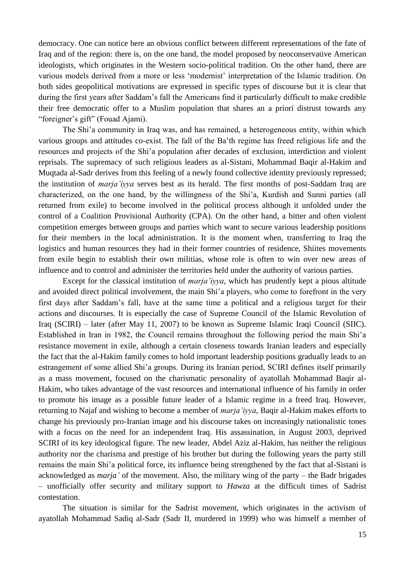democracy. One can notice here an obvious conflict between different representations of the fate of Iraq and of the region: there is, on the one hand, the model proposed by neoconservative American ideologists, which originates in the Western socio-political tradition. On the other hand, there are various models derived from a more or less "modernist" interpretation of the Islamic tradition. On both sides geopolitical motivations are expressed in specific types of discourse but it is clear that during the first years after Saddam's fall the Americans find it particularly difficult to make credible their free democratic offer to a Muslim population that shares an a priori distrust towards any "foreigner's gift" (Fouad Ajami).

The Shi"a community in Iraq was, and has remained, a heterogeneous entity, within which various groups and attitudes co-exist. The fall of the Ba"th regime has freed religious life and the resources and projects of the Shi"a population after decades of exclusion, interdiction and violent reprisals. The supremacy of such religious leaders as al-Sistani, Mohammad Baqir al-Hakim and Muqtada al-Sadr derives from this feeling of a newly found collective identity previously repressed; the institution of *marja'iyya* serves best as its herald. The first months of post-Saddam Iraq are characterized, on the one hand, by the willingness of the Shi"a, Kurdish and Sunni parties (all returned from exile) to become involved in the political process although it unfolded under the control of a Coalition Provisional Authority (CPA). On the other hand, a bitter and often violent competition emerges between groups and parties which want to secure various leadership positions for their members in the local administration. It is the moment when, transferring to Iraq the logistics and human resources they had in their former countries of residence, Shiites movements from exile begin to establish their own militias, whose role is often to win over new areas of influence and to control and administer the territories held under the authority of various parties.

Except for the classical institution of *marja'iyya*, which has prudently kept a pious altitude and avoided direct political involvement, the main Shi"a players, who come to forefront in the very first days after Saddam"s fall, have at the same time a political and a religious target for their actions and discourses. It is especially the case of Supreme Council of the Islamic Revolution of Iraq (SCIRI) – later (after May 11, 2007) to be known as Supreme Islamic Iraqi Council (SIIC). Established in Iran in 1982, the Council remains throughout the following period the main Shi"a resistance movement in exile, although a certain closeness towards Iranian leaders and especially the fact that the al-Hakim family comes to hold important leadership positions gradually leads to an estrangement of some allied Shi"a groups. During its Iranian period, SCIRI defines itself primarily as a mass movement, focused on the charismatic personality of ayatollah Mohammad Baqir al-Hakim, who takes advantage of the vast resources and international influence of his family in order to promote his image as a possible future leader of a Islamic regime in a freed Iraq. However, returning to Najaf and wishing to become a member of *marja'iyya*, Baqir al-Hakim makes efforts to change his previously pro-Iranian image and his discourse takes on increasingly nationalistic tones with a focus on the need for an independent Iraq. His assassination, in August 2003, deprived SCIRI of its key ideological figure. The new leader, Abdel Aziz al-Hakim, has neither the religious authority nor the charisma and prestige of his brother but during the following years the party still remains the main Shi"a political force, its influence being strengthened by the fact that al-Sistani is acknowledged as *marja'* of the movement. Also, the military wing of the party – the Badr brigades – unofficially offer security and military support to *Hawza* at the difficult times of Sadrist contestation.

The situation is similar for the Sadrist movement, which originates in the activism of ayatollah Mohammad Sadiq al-Sadr (Sadr II, murdered in 1999) who was himself a member of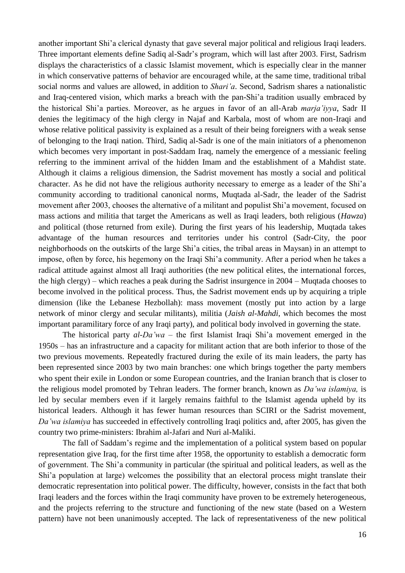another important Shi"a clerical dynasty that gave several major political and religious Iraqi leaders. Three important elements define Sadiq al-Sadr"s program, which will last after 2003. First, Sadrism displays the characteristics of a classic Islamist movement, which is especially clear in the manner in which conservative patterns of behavior are encouraged while, at the same time, traditional tribal social norms and values are allowed, in addition to *Shari'a*. Second, Sadrism shares a nationalistic and Iraq-centered vision, which marks a breach with the pan-Shi'a tradition usually embraced by the historical Shi"a parties. Moreover, as he argues in favor of an all-Arab *marja'iyya*, Sadr II denies the legitimacy of the high clergy in Najaf and Karbala, most of whom are non-Iraqi and whose relative political passivity is explained as a result of their being foreigners with a weak sense of belonging to the Iraqi nation. Third, Sadiq al-Sadr is one of the main initiators of a phenomenon which becomes very important in post-Saddam Iraq, namely the emergence of a messianic feeling referring to the imminent arrival of the hidden Imam and the establishment of a Mahdist state. Although it claims a religious dimension, the Sadrist movement has mostly a social and political character. As he did not have the religious authority necessary to emerge as a leader of the Shi"a community according to traditional canonical norms, Muqtada al-Sadr, the leader of the Sadrist movement after 2003, chooses the alternative of a militant and populist Shi"a movement, focused on mass actions and militia that target the Americans as well as Iraqi leaders, both religious (*Hawza*) and political (those returned from exile). During the first years of his leadership, Muqtada takes advantage of the human resources and territories under his control (Sadr-City, the poor neighborhoods on the outskirts of the large Shi"a cities, the tribal areas in Maysan) in an attempt to impose, often by force, his hegemony on the Iraqi Shi"a community. After a period when he takes a radical attitude against almost all Iraqi authorities (the new political elites, the international forces, the high clergy) – which reaches a peak during the Sadrist insurgence in 2004 – Muqtada chooses to become involved in the political process. Thus, the Sadrist movement ends up by acquiring a triple dimension (like the Lebanese Hezbollah): mass movement (mostly put into action by a large network of minor clergy and secular militants), militia (*Jaish al-Mahdi*, which becomes the most important paramilitary force of any Iraqi party), and political body involved in governing the state.

The historical party *al-Da'wa* – the first Islamist Iraqi Shi"a movement emerged in the 1950s – has an infrastructure and a capacity for militant action that are both inferior to those of the two previous movements. Repeatedly fractured during the exile of its main leaders, the party has been represented since 2003 by two main branches: one which brings together the party members who spent their exile in London or some European countries, and the Iranian branch that is closer to the religious model promoted by Tehran leaders. The former branch, known as *Da'wa islamiya,* is led by secular members even if it largely remains faithful to the Islamist agenda upheld by its historical leaders. Although it has fewer human resources than SCIRI or the Sadrist movement, *Da'wa islamiya* has succeeded in effectively controlling Iraqi politics and, after 2005, has given the country two prime-ministers: Ibrahim al-Jafari and Nuri al-Maliki.

The fall of Saddam"s regime and the implementation of a political system based on popular representation give Iraq, for the first time after 1958, the opportunity to establish a democratic form of government. The Shi"a community in particular (the spiritual and political leaders, as well as the Shi"a population at large) welcomes the possibility that an electoral process might translate their democratic representation into political power. The difficulty, however, consists in the fact that both Iraqi leaders and the forces within the Iraqi community have proven to be extremely heterogeneous, and the projects referring to the structure and functioning of the new state (based on a Western pattern) have not been unanimously accepted. The lack of representativeness of the new political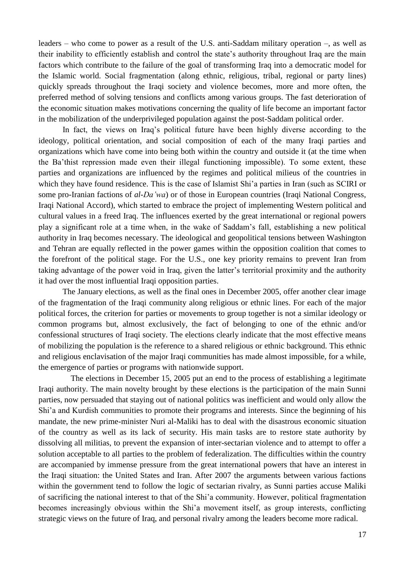leaders – who come to power as a result of the U.S. anti-Saddam military operation –, as well as their inability to efficiently establish and control the state"s authority throughout Iraq are the main factors which contribute to the failure of the goal of transforming Iraq into a democratic model for the Islamic world. Social fragmentation (along ethnic, religious, tribal, regional or party lines) quickly spreads throughout the Iraqi society and violence becomes, more and more often, the preferred method of solving tensions and conflicts among various groups. The fast deterioration of the economic situation makes motivations concerning the quality of life become an important factor in the mobilization of the underprivileged population against the post-Saddam political order.

In fact, the views on Iraq"s political future have been highly diverse according to the ideology, political orientation, and social composition of each of the many Iraqi parties and organizations which have come into being both within the country and outside it (at the time when the Ba"thist repression made even their illegal functioning impossible). To some extent, these parties and organizations are influenced by the regimes and political milieus of the countries in which they have found residence. This is the case of Islamist Shi'a parties in Iran (such as SCIRI or some pro-Iranian factions of *al-Da'wa*) or of those in European countries (Iraqi National Congress, Iraqi National Accord), which started to embrace the project of implementing Western political and cultural values in a freed Iraq. The influences exerted by the great international or regional powers play a significant role at a time when, in the wake of Saddam"s fall, establishing a new political authority in Iraq becomes necessary. The ideological and geopolitical tensions between Washington and Tehran are equally reflected in the power games within the opposition coalition that comes to the forefront of the political stage. For the U.S., one key priority remains to prevent Iran from taking advantage of the power void in Iraq, given the latter"s territorial proximity and the authority it had over the most influential Iraqi opposition parties.

The January elections, as well as the final ones in December 2005, offer another clear image of the fragmentation of the Iraqi community along religious or ethnic lines. For each of the major political forces, the criterion for parties or movements to group together is not a similar ideology or common programs but, almost exclusively, the fact of belonging to one of the ethnic and/or confessional structures of Iraqi society. The elections clearly indicate that the most effective means of mobilizing the population is the reference to a shared religious or ethnic background. This ethnic and religious enclavisation of the major Iraqi communities has made almost impossible, for a while, the emergence of parties or programs with nationwide support.

 The elections in December 15, 2005 put an end to the process of establishing a legitimate Iraqi authority. The main novelty brought by these elections is the participation of the main Sunni parties, now persuaded that staying out of national politics was inefficient and would only allow the Shi"a and Kurdish communities to promote their programs and interests. Since the beginning of his mandate, the new prime-minister Nuri al-Maliki has to deal with the disastrous economic situation of the country as well as its lack of security. His main tasks are to restore state authority by dissolving all militias, to prevent the expansion of inter-sectarian violence and to attempt to offer a solution acceptable to all parties to the problem of federalization. The difficulties within the country are accompanied by immense pressure from the great international powers that have an interest in the Iraqi situation: the United States and Iran. After 2007 the arguments between various factions within the government tend to follow the logic of sectarian rivalry, as Sunni parties accuse Maliki of sacrificing the national interest to that of the Shi"a community. However, political fragmentation becomes increasingly obvious within the Shi'a movement itself, as group interests, conflicting strategic views on the future of Iraq, and personal rivalry among the leaders become more radical.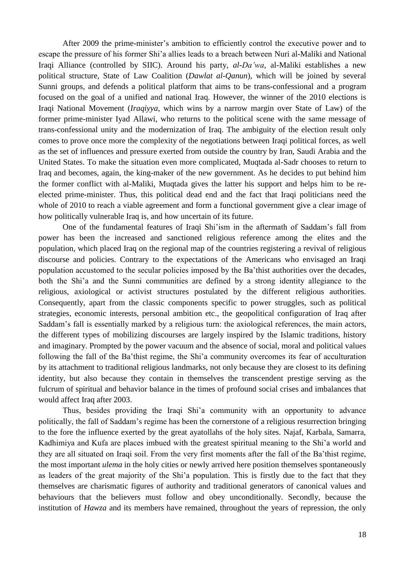After 2009 the prime-minister's ambition to efficiently control the executive power and to escape the pressure of his former Shi"a allies leads to a breach between Nuri al-Maliki and National Iraqi Alliance (controlled by SIIC). Around his party, *al-Da'wa*, al-Maliki establishes a new political structure, State of Law Coalition (*Dawlat al-Qanun*), which will be joined by several Sunni groups, and defends a political platform that aims to be trans-confessional and a program focused on the goal of a unified and national Iraq. However, the winner of the 2010 elections is Iraqi National Movement (*Iraqiyya*, which wins by a narrow margin over State of Law) of the former prime-minister Iyad Allawi, who returns to the political scene with the same message of trans-confessional unity and the modernization of Iraq. The ambiguity of the election result only comes to prove once more the complexity of the negotiations between Iraqi political forces, as well as the set of influences and pressure exerted from outside the country by Iran, Saudi Arabia and the United States. To make the situation even more complicated, Muqtada al-Sadr chooses to return to Iraq and becomes, again, the king-maker of the new government. As he decides to put behind him the former conflict with al-Maliki, Muqtada gives the latter his support and helps him to be reelected prime-minister. Thus, this political dead end and the fact that Iraqi politicians need the whole of 2010 to reach a viable agreement and form a functional government give a clear image of how politically vulnerable Iraq is, and how uncertain of its future.

One of the fundamental features of Iraqi Shi"ism in the aftermath of Saddam"s fall from power has been the increased and sanctioned religious reference among the elites and the population, which placed Iraq on the regional map of the countries registering a revival of religious discourse and policies. Contrary to the expectations of the Americans who envisaged an Iraqi population accustomed to the secular policies imposed by the Ba"thist authorities over the decades, both the Shi'a and the Sunni communities are defined by a strong identity allegiance to the religious, axiological or activist structures postulated by the different religious authorities. Consequently, apart from the classic components specific to power struggles, such as political strategies, economic interests, personal ambition etc., the geopolitical configuration of Iraq after Saddam"s fall is essentially marked by a religious turn: the axiological references, the main actors, the different types of mobilizing discourses are largely inspired by the Islamic traditions, history and imaginary. Prompted by the power vacuum and the absence of social, moral and political values following the fall of the Ba'thist regime, the Shi'a community overcomes its fear of acculturation by its attachment to traditional religious landmarks, not only because they are closest to its defining identity, but also because they contain in themselves the transcendent prestige serving as the fulcrum of spiritual and behavior balance in the times of profound social crises and imbalances that would affect Iraq after 2003.

Thus, besides providing the Iraqi Shi'a community with an opportunity to advance politically, the fall of Saddam"s regime has been the cornerstone of a religious resurrection bringing to the fore the influence exerted by the great ayatollahs of the holy sites. Najaf, Karbala, Samarra, Kadhimiya and Kufa are places imbued with the greatest spiritual meaning to the Shi"a world and they are all situated on Iraqi soil. From the very first moments after the fall of the Ba"thist regime, the most important *ulema* in the holy cities or newly arrived here position themselves spontaneously as leaders of the great majority of the Shi'a population. This is firstly due to the fact that they themselves are charismatic figures of authority and traditional generators of canonical values and behaviours that the believers must follow and obey unconditionally. Secondly, because the institution of *Hawza* and its members have remained, throughout the years of repression, the only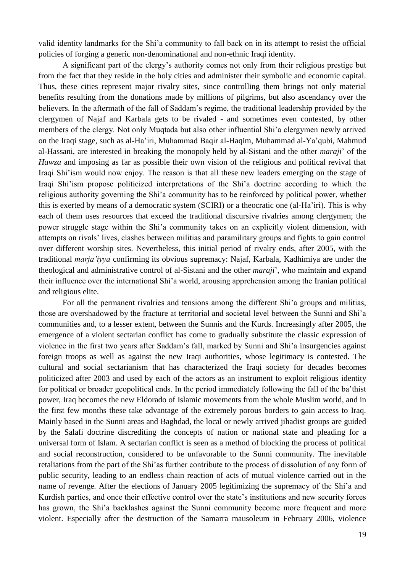valid identity landmarks for the Shi"a community to fall back on in its attempt to resist the official policies of forging a generic non-denominational and non-ethnic Iraqi identity.

A significant part of the clergy"s authority comes not only from their religious prestige but from the fact that they reside in the holy cities and administer their symbolic and economic capital. Thus, these cities represent major rivalry sites, since controlling them brings not only material benefits resulting from the donations made by millions of pilgrims, but also ascendancy over the believers. In the aftermath of the fall of Saddam"s regime, the traditional leadership provided by the clergymen of Najaf and Karbala gets to be rivaled - and sometimes even contested, by other members of the clergy. Not only Muqtada but also other influential Shi'a clergymen newly arrived on the Iraqi stage, such as al-Ha"iri, Muhammad Baqir al-Haqim, Muhammad al-Ya"qubi, Mahmud al-Hassani, are interested in breaking the monopoly held by al-Sistani and the other *maraji*" of the *Hawza* and imposing as far as possible their own vision of the religious and political revival that Iraqi Shi"ism would now enjoy. The reason is that all these new leaders emerging on the stage of Iraqi Shi"ism propose politicized interpretations of the Shi"a doctrine according to which the religious authority governing the Shi"a community has to be reinforced by political power, whether this is exerted by means of a democratic system (SCIRI) or a theocratic one (al-Ha"iri). This is why each of them uses resources that exceed the traditional discursive rivalries among clergymen; the power struggle stage within the Shi"a community takes on an explicitly violent dimension, with attempts on rivals" lives, clashes between militias and paramilitary groups and fights to gain control over different worship sites. Nevertheless, this initial period of rivalry ends, after 2005, with the traditional *marja'iyya* confirming its obvious supremacy: Najaf, Karbala, Kadhimiya are under the theological and administrative control of al-Sistani and the other *maraji*", who maintain and expand their influence over the international Shi"a world, arousing apprehension among the Iranian political and religious elite.

For all the permanent rivalries and tensions among the different Shi'a groups and militias, those are overshadowed by the fracture at territorial and societal level between the Sunni and Shi"a communities and, to a lesser extent, between the Sunnis and the Kurds. Increasingly after 2005, the emergence of a violent sectarian conflict has come to gradually substitute the classic expression of violence in the first two years after Saddam"s fall, marked by Sunni and Shi"a insurgencies against foreign troops as well as against the new Iraqi authorities, whose legitimacy is contested. The cultural and social sectarianism that has characterized the Iraqi society for decades becomes politicized after 2003 and used by each of the actors as an instrument to exploit religious identity for political or broader geopolitical ends. In the period immediately following the fall of the ba'thist power, Iraq becomes the new Eldorado of Islamic movements from the whole Muslim world, and in the first few months these take advantage of the extremely porous borders to gain access to Iraq. Mainly based in the Sunni areas and Baghdad, the local or newly arrived jihadist groups are guided by the Salafi doctrine discrediting the concepts of nation or national state and pleading for a universal form of Islam. A sectarian conflict is seen as a method of blocking the process of political and social reconstruction, considered to be unfavorable to the Sunni community. The inevitable retaliations from the part of the Shi"as further contribute to the process of dissolution of any form of public security, leading to an endless chain reaction of acts of mutual violence carried out in the name of revenge. After the elections of January 2005 legitimizing the supremacy of the Shi'a and Kurdish parties, and once their effective control over the state"s institutions and new security forces has grown, the Shi'a backlashes against the Sunni community become more frequent and more violent. Especially after the destruction of the Samarra mausoleum in February 2006, violence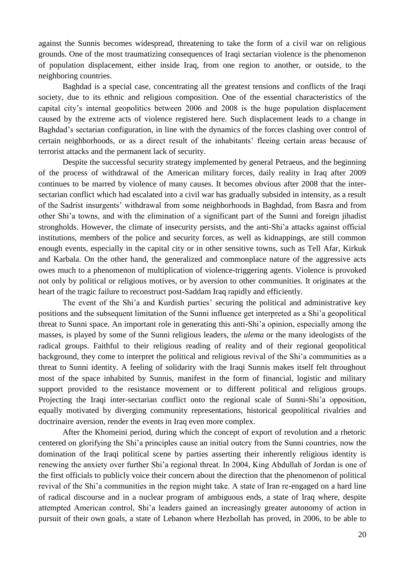against the Sunnis becomes widespread, threatening to take the form of a civil war on religious grounds. One of the most traumatizing consequences of Iraqi sectarian violence is the phenomenon of population displacement, either inside Iraq, from one region to another, or outside, to the neighboring countries.

Baghdad is a special case, concentrating all the greatest tensions and conflicts of the Iraqi society, due to its ethnic and religious composition. One of the essential characteristics of the capital city"s internal geopolitics between 2006 and 2008 is the huge population displacement caused by the extreme acts of violence registered here. Such displacement leads to a change in Baghdad's sectarian configuration, in line with the dynamics of the forces clashing over control of certain neighborhoods, or as a direct result of the inhabitants" fleeing certain areas because of terrorist attacks and the permanent lack of security.

Despite the successful security strategy implemented by general Petraeus, and the beginning of the process of withdrawal of the American military forces, daily reality in Iraq after 2009 continues to be marred by violence of many causes. It becomes obvious after 2008 that the intersectarian conflict which had escalated into a civil war has gradually subsided in intensity, as a result of the Sadrist insurgents" withdrawal from some neighborhoods in Baghdad, from Basra and from other Shi"a towns, and with the elimination of a significant part of the Sunni and foreign jihadist strongholds. However, the climate of insecurity persists, and the anti-Shi"a attacks against official institutions, members of the police and security forces, as well as kidnappings, are still common enough events, especially in the capital city or in other sensitive towns, such as Tell Afar, Kirkuk and Karbala. On the other hand, the generalized and commonplace nature of the aggressive acts owes much to a phenomenon of multiplication of violence-triggering agents. Violence is provoked not only by political or religious motives, or by aversion to other communities. It originates at the heart of the tragic failure to reconstruct post-Saddam Iraq rapidly and efficiently.

The event of the Shi'a and Kurdish parties' securing the political and administrative key positions and the subsequent limitation of the Sunni influence get interpreted as a Shi"a geopolitical threat to Sunni space. An important role in generating this anti-Shi"a opinion, especially among the masses, is played by some of the Sunni religious leaders, the *ulema* or the many ideologists of the radical groups. Faithful to their religious reading of reality and of their regional geopolitical background, they come to interpret the political and religious revival of the Shi"a communities as a threat to Sunni identity. A feeling of solidarity with the Iraqi Sunnis makes itself felt throughout most of the space inhabited by Sunnis, manifest in the form of financial, logistic and military support provided to the resistance movement or to different political and religious groups. Projecting the Iraqi inter-sectarian conflict onto the regional scale of Sunni-Shi'a opposition, equally motivated by diverging community representations, historical geopolitical rivalries and doctrinaire aversion, render the events in Iraq even more complex.

After the Khomeini period, during which the concept of export of revolution and a rhetoric centered on glorifying the Shi"a principles cause an initial outcry from the Sunni countries, now the domination of the Iraqi political scene by parties asserting their inherently religious identity is renewing the anxiety over further Shi"a regional threat. In 2004, King Abdullah of Jordan is one of the first officials to publicly voice their concern about the direction that the phenomenon of political revival of the Shi"a communities in the region might take. A state of Iran re-engaged on a hard line of radical discourse and in a nuclear program of ambiguous ends, a state of Iraq where, despite attempted American control, Shi"a leaders gained an increasingly greater autonomy of action in pursuit of their own goals, a state of Lebanon where Hezbollah has proved, in 2006, to be able to